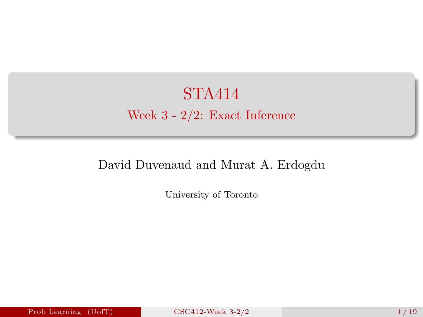<span id="page-0-0"></span>STA414 Week 3 - 2/2: Exact Inference

#### David Duvenaud and Murat A. Erdogdu

University of Toronto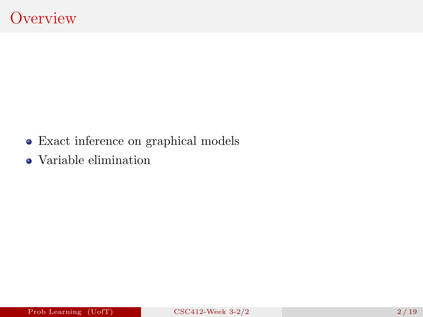- Exact inference on graphical models
- Variable elimination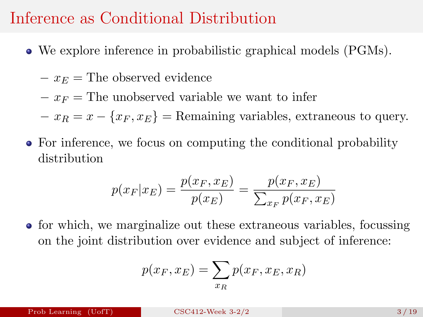### Inference as Conditional Distribution

- We explore inference in probabilistic graphical models (PGMs).
	- $-x_E$  = The observed evidence
	- $-x_F =$ The unobserved variable we want to infer
	- $-x_B = x \{x_F, x_E\}$  = Remaining variables, extraneous to query.
- For inference, we focus on computing the conditional probability distribution

$$
p(x_F|x_E) = \frac{p(x_F, x_E)}{p(x_E)} = \frac{p(x_F, x_E)}{\sum_{x_F} p(x_F, x_E)}
$$

for which, we marginalize out these extraneous variables, focussing on the joint distribution over evidence and subject of inference:

$$
p(x_F, x_E) = \sum_{x_R} p(x_F, x_E, x_R)
$$

Prob Learning (UofT)  $CSC412$ -Week 3-2/2  $3/19$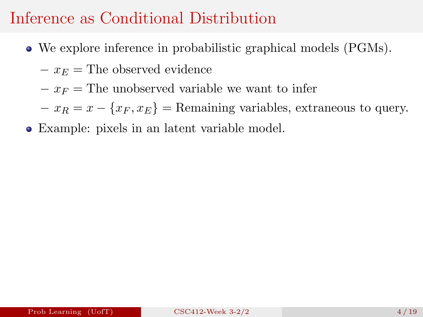## Inference as Conditional Distribution

- We explore inference in probabilistic graphical models (PGMs).
	- $-x_E$  = The observed evidence
	- $-x_F$  = The unobserved variable we want to infer
	- $-x_R = x \{x_F, x_E\}$  = Remaining variables, extraneous to query.
- Example: pixels in an latent variable model.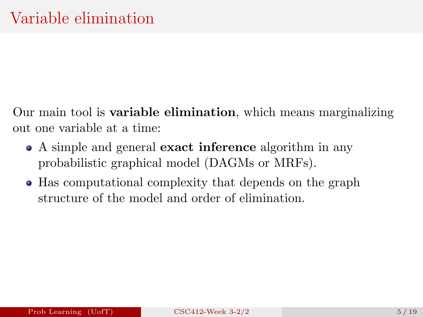Our main tool is variable elimination, which means marginalizing out one variable at a time:

- A simple and general **exact inference** algorithm in any probabilistic graphical model (DAGMs or MRFs).
- Has computational complexity that depends on the graph structure of the model and order of elimination.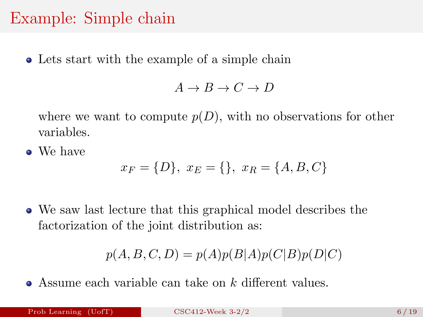### Example: Simple chain

Lets start with the example of a simple chain

 $A \rightarrow B \rightarrow C \rightarrow D$ 

where we want to compute  $p(D)$ , with no observations for other variables.

• We have

$$
x_F = \{D\}, \ x_E = \{\}, \ x_R = \{A, B, C\}
$$

We saw last lecture that this graphical model describes the factorization of the joint distribution as:

$$
p(A, B, C, D) = p(A)p(B|A)p(C|B)p(D|C)
$$

 $\bullet$  Assume each variable can take on k different values.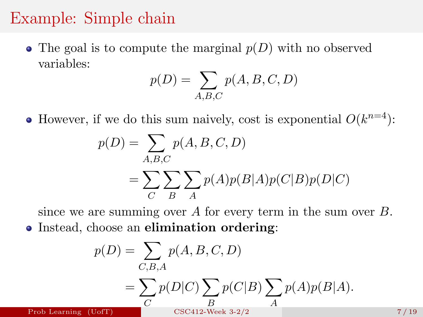#### Example: Simple chain

• The goal is to compute the marginal  $p(D)$  with no observed variables:

$$
p(D) = \sum_{A,B,C} p(A,B,C,D)
$$

However, if we do this sum naively, cost is exponential  $O(k^{n=4})$ :

$$
p(D) = \sum_{A,B,C} p(A,B,C,D)
$$
  
= 
$$
\sum_{C} \sum_{B} \sum_{A} p(A)p(B|A)p(C|B)p(D|C)
$$

since we are summing over  $A$  for every term in the sum over  $B$ . • Instead, choose an elimination ordering:

$$
p(D) = \sum_{C,B,A} p(A,B,C,D)
$$
  
= 
$$
\sum_{C} p(D|C) \sum_{B} p(C|B) \sum_{A} p(A)p(B|A).
$$
  
Prob Learning (Uoff) CSC412-Week 3-2/2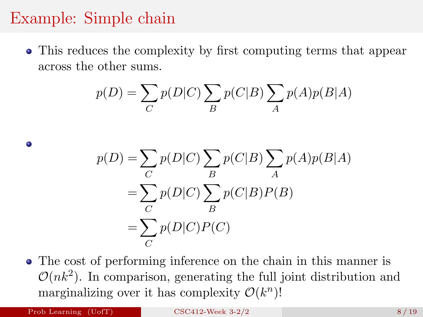## Example: Simple chain

This reduces the complexity by first computing terms that appear across the other sums.

$$
p(D) = \sum_{C} p(D|C) \sum_{B} p(C|B) \sum_{A} p(A)p(B|A)
$$

$$
p(D) = \sum_{C} p(D|C) \sum_{B} p(C|B) \sum_{A} p(A)p(B|A)
$$
  
= 
$$
\sum_{C} p(D|C) \sum_{B} p(C|B)P(B)
$$
  
= 
$$
\sum_{C} p(D|C)P(C)
$$

The cost of performing inference on the chain in this manner is  $\mathcal{O}(nk^2)$ . In comparison, generating the full joint distribution and marginalizing over it has complexity  $\mathcal{O}(k^n)$ !

 $\bullet$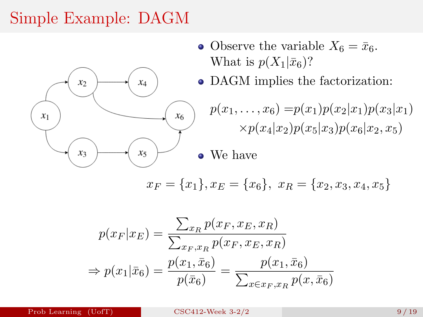# Simple Example: DAGM



- Observe the variable  $X_6 = \bar{x}_6$ . What is  $p(X_1|\bar{x}_6)$ ?
- DAGM implies the factorization:

$$
p(x_1,...,x_6) = p(x_1)p(x_2|x_1)p(x_3|x_1)
$$
  
 
$$
\times p(x_4|x_2)p(x_5|x_3)p(x_6|x_2,x_5)
$$

#### • We have

$$
x_F = \{x_1\}, x_E = \{x_6\}, x_R = \{x_2, x_3, x_4, x_5\}
$$

$$
p(x_F|x_E) = \frac{\sum_{x_R} p(x_F, x_E, x_R)}{\sum_{x_F, x_R} p(x_F, x_E, x_R)}
$$
  
\n
$$
\Rightarrow p(x_1|\bar{x}_6) = \frac{p(x_1, \bar{x}_6)}{p(\bar{x}_6)} = \frac{p(x_1, \bar{x}_6)}{\sum_{x \in x_F, x_R} p(x, \bar{x}_6)}
$$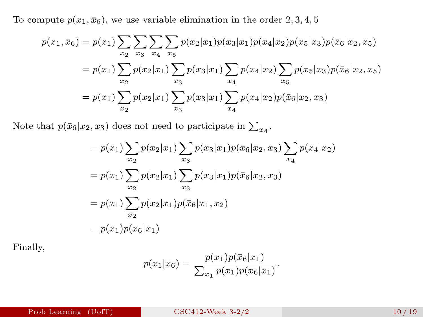To compute  $p(x_1, \bar{x}_6)$ , we use variable elimination in the order 2, 3, 4, 5

$$
p(x_1, \bar{x}_6) = p(x_1) \sum_{x_2} \sum_{x_3} \sum_{x_4} \sum_{x_5} p(x_2|x_1) p(x_3|x_1) p(x_4|x_2) p(x_5|x_3) p(\bar{x}_6|x_2, x_5)
$$
  
=  $p(x_1) \sum_{x_2} p(x_2|x_1) \sum_{x_3} p(x_3|x_1) \sum_{x_4} p(x_4|x_2) \sum_{x_5} p(x_5|x_3) p(\bar{x}_6|x_2, x_5)$   
=  $p(x_1) \sum_{x_2} p(x_2|x_1) \sum_{x_3} p(x_3|x_1) \sum_{x_4} p(x_4|x_2) p(\bar{x}_6|x_2, x_3)$ 

Note that  $p(\bar{x}_6|x_2, x_3)$  does not need to participate in  $\sum_{x_4}$ .

$$
= p(x_1) \sum_{x_2} p(x_2|x_1) \sum_{x_3} p(x_3|x_1)p(\bar{x}_6|x_2, x_3) \sum_{x_4} p(x_4|x_2)
$$
  
=  $p(x_1) \sum_{x_2} p(x_2|x_1) \sum_{x_3} p(x_3|x_1)p(\bar{x}_6|x_2, x_3)$   
=  $p(x_1) \sum_{x_2} p(x_2|x_1)p(\bar{x}_6|x_1, x_2)$   
=  $p(x_1)p(\bar{x}_6|x_1)$ 

Finally,

$$
p(x_1|\bar{x}_6) = \frac{p(x_1)p(\bar{x}_6|x_1)}{\sum_{x_1} p(x_1)p(\bar{x}_6|x_1)}.
$$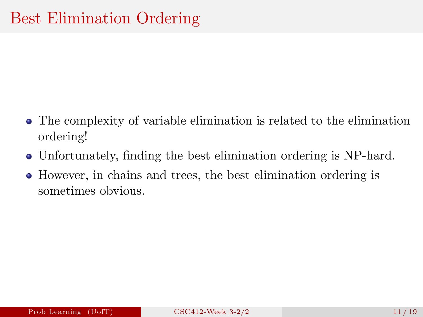- The complexity of variable elimination is related to the elimination ordering!
- Unfortunately, finding the best elimination ordering is NP-hard.
- However, in chains and trees, the best elimination ordering is sometimes obvious.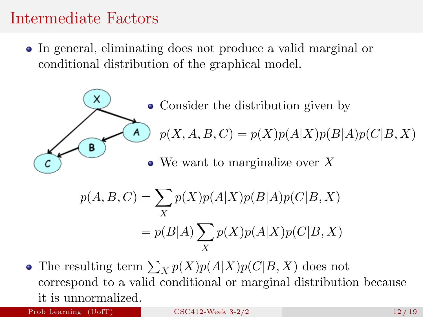### Intermediate Factors

In general, eliminating does not produce a valid marginal or conditional distribution of the graphical model.



• Consider the distribution given by  $p(X, A, B, C) = p(X)p(A|X)p(B|A)p(C|B, X)$ • We want to marginalize over X

$$
p(A, B, C) = \sum_{X} p(X)p(A|X)p(B|A)p(C|B, X)
$$

$$
= p(B|A) \sum_{X} p(X)p(A|X)p(C|B, X)
$$

The resulting term  $\sum_{X} p(X)p(A|X)p(C|B, X)$  does not correspond to a valid conditional or marginal distribution because it is unnormalized.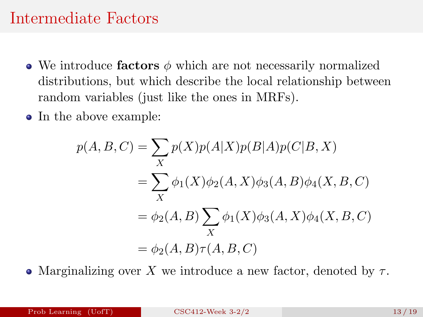#### Intermediate Factors

- We introduce factors  $\phi$  which are not necessarily normalized distributions, but which describe the local relationship between random variables (just like the ones in MRFs).
- In the above example:

$$
p(A, B, C) = \sum_{X} p(X)p(A|X)p(B|A)p(C|B, X)
$$
  
= 
$$
\sum_{X} \phi_1(X)\phi_2(A, X)\phi_3(A, B)\phi_4(X, B, C)
$$
  
= 
$$
\phi_2(A, B) \sum_{X} \phi_1(X)\phi_3(A, X)\phi_4(X, B, C)
$$
  
= 
$$
\phi_2(A, B)\tau(A, B, C)
$$

• Marginalizing over X we introduce a new factor, denoted by  $\tau$ .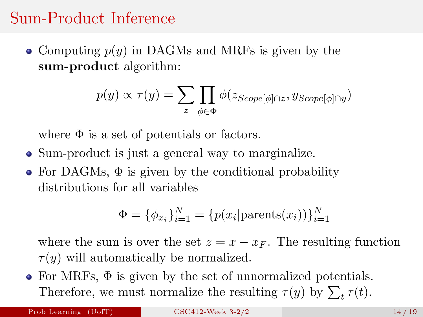### Sum-Product Inference

• Computing  $p(y)$  in DAGMs and MRFs is given by the sum-product algorithm:

$$
p(y) \propto \tau(y) = \sum_{z} \prod_{\phi \in \Phi} \phi(z_{Scope[\phi] \cap z}, y_{Scope[\phi] \cap y})
$$

where  $\Phi$  is a set of potentials or factors.

- Sum-product is just a general way to marginalize.
- For DAGMs,  $\Phi$  is given by the conditional probability distributions for all variables

$$
\Phi = \{\phi_{x_i}\}_{i=1}^N = \{p(x_i | \text{parents}(x_i))\}_{i=1}^N
$$

where the sum is over the set  $z = x - x_F$ . The resulting function  $\tau(y)$  will automatically be normalized.

 $\bullet$  For MRFs,  $\Phi$  is given by the set of unnormalized potentials. Therefore, we must normalize the resulting  $\tau(y)$  by  $\sum_t \tau(t)$ .

Prob Learning  $(UofT)$  [CSC412-Week 3-2/2](#page-0-0) 14/19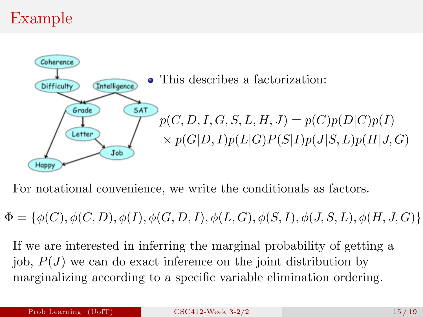# Example



For notational convenience, we write the conditionals as factors.

 $\Phi = \{\phi(C), \phi(C, D), \phi(I), \phi(G, D, I), \phi(L, G), \phi(S, I), \phi(J, S, L), \phi(H, J, G)\}\$ 

If we are interested in inferring the marginal probability of getting a job,  $P(J)$  we can do exact inference on the joint distribution by marginalizing according to a specific variable elimination ordering.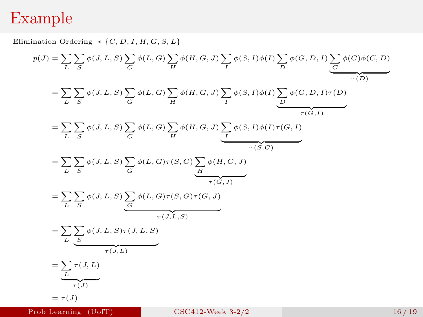#### Example

Elimination Ordering  $\prec \{C, D, I, H, G, S, L\}$  $p(J) = \sum_{L}$ ) r  $\sum_{S} \phi(J, L, S) \sum_{G}$  $\sum_{G} \phi(L, G) \sum_{H}$  $\sum_{H} \phi(H, G, J) \sum_{I}$  $\sum_{I} \phi(S, I) \phi(I) \sum_{D}$  $\sum_{D} \phi(G, D, I) \sum_{C}$  $\sum_{C} \phi(C) \phi(C, D)$  $\tau(D)$  $=$   $\sum$ L  $\sum$  $\sum_{S} \phi(J, L, S) \sum_{G}$  $\sum_{G} \phi(L, G) \sum_{H}$  $\sum_{H} \phi(H, G, J) \sum_{I}$  $\sum_{I} \phi(S, I) \phi(I) \sum_{D}$  $\sum_{D} \phi(G, D, I) \tau(D)$  ${\tau(G,I)}$  $=$   $\sum$ L  $\sum$  $\sum_{S} \phi(J, L, S) \sum_{G}$  $\sum_{G} \phi(L, G) \sum_{H}$  $\sum_{H} \phi(H, G, J) \sum_{I}$  $\sum_{I} \phi(S, I) \phi(I) \tau(G, I)$  ${\tau(S, G)}$  $=$   $\sum$ L  $\sum$  $\sum_{S}\phi(J,L,S)\sum_{G}$  $\sum_{G} \phi(L, G) \tau(S, G) \sum_{H}$  $\sum_{H} \phi(H, G, J)$  ${\tau(\check G,J)}$  $=$   $\Sigma$ L  $\Delta$  $\sum_{S} \phi(J, L, S) \sum_{G}$  $\sum_{G} \phi(L, G) \tau(S, G) \tau(G, J)$  $\tau(J,L,S)$  $=$   $\Sigma$ L  $\Delta$  $\sum_{S}\phi(J,L,S)\tau(J,L,S)$  $\tau(\widetilde{J},L)$  $=$   $\Sigma$  $\sum_L \tau(J,L)$  $\tau(J)$  $= \tau(J)$ 

not need to renormalize the final factor τ(J). However, if we started with potential factors not from a Prob Learning (UofT)

#### $CSC412-Week 3-2/2$  and correspond to marginal and correspond to  $16/19$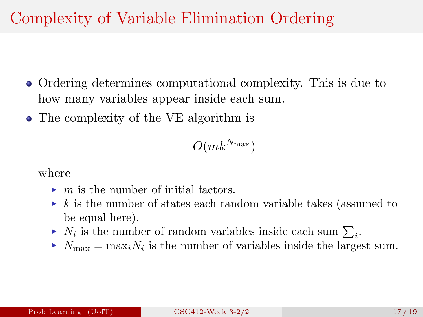# Complexity of Variable Elimination Ordering

- Ordering determines computational complexity. This is due to how many variables appear inside each sum.
- The complexity of the VE algorithm is

 $O(mk^{N_{\text{max}}})$ 

where

- $\blacktriangleright$  m is the number of initial factors.
- $\triangleright$  k is the number of states each random variable takes (assumed to be equal here).
- $\blacktriangleright N_i$  is the number of random variables inside each sum  $\sum_i$ .
- $\blacktriangleright N_{\text{max}} = \max_i N_i$  is the number of variables inside the largest sum.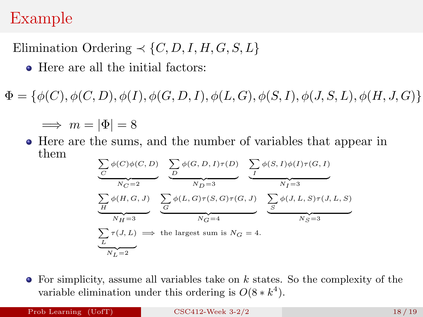#### Example

Elimination Ordering  $\prec \{C, D, I, H, G, S, L\}$ 

• Here are all the initial factors:

 $\Phi = \{ \phi(C), \phi(C, D), \phi(I), \phi(G, D, I), \phi(L, G), \phi(S, I), \phi(J, S, L), \phi(H, J, G) \}$ 

$$
\implies m = |\Phi| = 8
$$

Here are the sums, and the number of variables that appear in them

$$
\underbrace{\sum_{C} \phi(C)\phi(C, D)}_{N_C=2} \underbrace{\sum_{D} \phi(G, D, I)\tau(D)}_{N_D=3} \underbrace{\sum_{I} \phi(S, I)\phi(I)\tau(G, I)}_{N_I=3}
$$
\n
$$
\underbrace{\sum_{N_I=3} \phi(H, G, J)}_{N_H=3} \underbrace{\sum_{G} \phi(L, G)\tau(S, G)\tau(G, J)}_{N_G=4} \underbrace{\sum_{S} \phi(J, L, S)\tau(J, L, S)}_{N_S=3}
$$
\n
$$
\underbrace{\sum_{L} \tau(J, L)}_{N_L=2} \implies \text{the largest sum is } N_G = 4.
$$

 $\bullet$  For simplicity, assume all variables take on k states. So the complexity of the variable elimination under this ordering is  $O(8*k^4)$ .

Prob Learning (UofT) [CSC412-Week 3-2/2](#page-0-0) 18/19